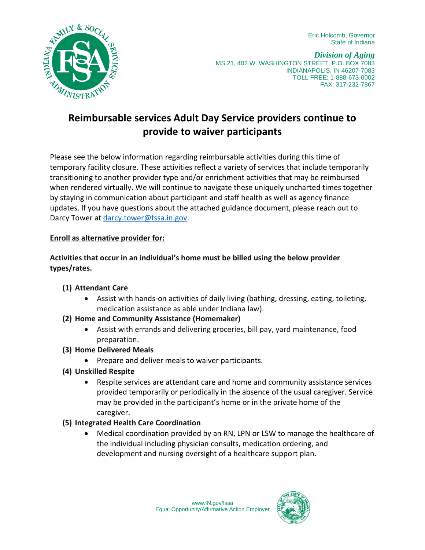Eric Holcomb, Governor State of Indiana



*Division of Aging* MS 21, 402 W. WASHINGTON STREET, P.O. BOX 7083 INDIANAPOLIS, IN 46207-7083 TOLL FREE: 1-888-673-0002 FAX: 317-232-7867

# **Reimbursable services Adult Day Service providers continue to provide to waiver participants**

Please see the below information regarding reimbursable activities during this time of temporary facility closure. These activities reflect a variety of services that include temporarily transitioning to another provider type and/or enrichment activities that may be reimbursed when rendered virtually. We will continue to navigate these uniquely uncharted times together by staying in communication about participant and staff health as well as agency finance updates. If you have questions about the attached guidance document, please reach out to Darcy Tower at [darcy.tower@fssa.in.gov.](mailto:darcy.tower@fssa.in.gov)

## **Enroll as alternative provider for:**

**Activities that occur in an individual's home must be billed using the below provider types/rates.**

## **(1) Attendant Care**

- Assist with hands-on activities of daily living (bathing, dressing, eating, toileting, medication assistance as able under Indiana law).
- **(2) Home and Community Assistance (Homemaker)**
	- Assist with errands and delivering groceries, bill pay, yard maintenance, food preparation.
- **(3) Home Delivered Meals**
	- Prepare and deliver meals to waiver participants.
- **(4) Unskilled Respite**
	- Respite services are attendant care and home and community assistance services provided temporarily or periodically in the absence of the usual caregiver. Service may be provided in the participant's home or in the private home of the caregiver.

#### **(5) Integrated Health Care Coordination**

• Medical coordination provided by an RN, LPN or LSW to manage the healthcare of the individual including physician consults, medication ordering, and development and nursing oversight of a healthcare support plan.

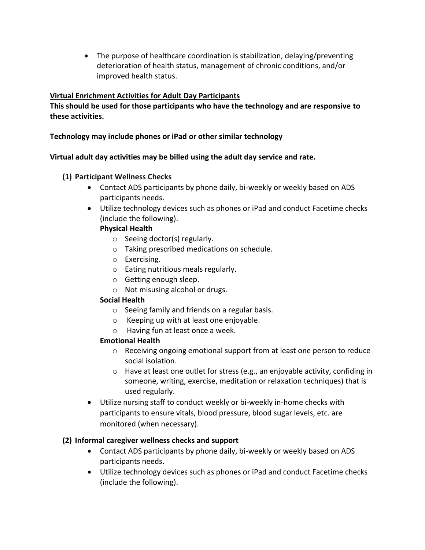• The purpose of healthcare coordination is stabilization, delaying/preventing deterioration of health status, management of chronic conditions, and/or improved health status.

## **Virtual Enrichment Activities for Adult Day Participants**

**This should be used for those participants who have the technology and are responsive to these activities.**

**Technology may include phones or iPad or other similar technology**

**Virtual adult day activities may be billed using the adult day service and rate.** 

- **(1) Participant Wellness Checks** 
	- Contact ADS participants by phone daily, bi-weekly or weekly based on ADS participants needs.
	- Utilize technology devices such as phones or iPad and conduct Facetime checks (include the following).

#### **Physical Health**

- o Seeing doctor(s) regularly.
- o Taking prescribed medications on schedule.
- o Exercising.
- o Eating nutritious meals regularly.
- o Getting enough sleep.
- o Not misusing alcohol or drugs.

#### **Social Health**

- o Seeing family and friends on a regular basis.
- o Keeping up with at least one enjoyable.
- o Having fun at least once a week.

#### **Emotional Health**

- o Receiving ongoing emotional support from at least one person to reduce social isolation.
- $\circ$  Have at least one outlet for stress (e.g., an enjoyable activity, confiding in someone, writing, exercise, meditation or relaxation techniques) that is used regularly.
- Utilize nursing staff to conduct weekly or bi-weekly in-home checks with participants to ensure vitals, blood pressure, blood sugar levels, etc. are monitored (when necessary).

## **(2) Informal caregiver wellness checks and support**

- Contact ADS participants by phone daily, bi-weekly or weekly based on ADS participants needs.
- Utilize technology devices such as phones or iPad and conduct Facetime checks (include the following).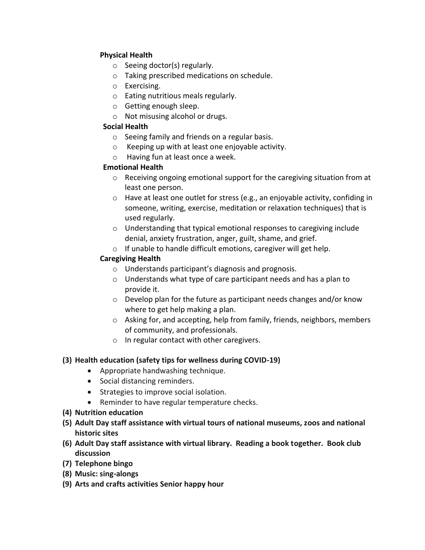## **Physical Health**

- o Seeing doctor(s) regularly.
- o Taking prescribed medications on schedule.
- o Exercising.
- o Eating nutritious meals regularly.
- o Getting enough sleep.
- o Not misusing alcohol or drugs.

## **Social Health**

- o Seeing family and friends on a regular basis.
- o Keeping up with at least one enjoyable activity.
- o Having fun at least once a week.

## **Emotional Health**

- $\circ$  Receiving ongoing emotional support for the caregiving situation from at least one person.
- o Have at least one outlet for stress (e.g., an enjoyable activity, confiding in someone, writing, exercise, meditation or relaxation techniques) that is used regularly.
- o Understanding that typical emotional responses to caregiving include denial, anxiety frustration, anger, guilt, shame, and grief.
- o If unable to handle difficult emotions, caregiver will get help.

# **Caregiving Health**

- o Understands participant's diagnosis and prognosis.
- o Understands what type of care participant needs and has a plan to provide it.
- o Develop plan for the future as participant needs changes and/or know where to get help making a plan.
- o Asking for, and accepting, help from family, friends, neighbors, members of community, and professionals.
- o In regular contact with other caregivers.

# **(3) Health education (safety tips for wellness during COVID-19)**

- Appropriate handwashing technique.
- Social distancing reminders.
- Strategies to improve social isolation.
- Reminder to have regular temperature checks.
- **(4) Nutrition education**
- **(5) Adult Day staff assistance with virtual tours of national museums, zoos and national historic sites**
- **(6) Adult Day staff assistance with virtual library. Reading a book together. Book club discussion**
- **(7) Telephone bingo**
- **(8) Music: sing-alongs**
- **(9) Arts and crafts activities Senior happy hour**